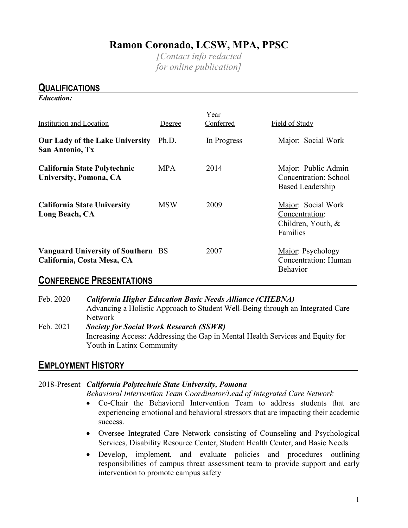# **Ramon Coronado, LCSW, MPA, PPSC**

*[Contact info redacted for online publication]*

# **QUALIFICATIONS** *Education:*  Year Institution and Location Degree Conferred Field of Study **Our Lady of the Lake University** Ph.D. In Progress Major: Social Work **San Antonio, Tx California State Polytechnic** MPA 2014 Major: Public Admin University, Pomona, CA **Concentration: School** Based Leadership **California State University** MSW 2009 Major: Social Work **Long Beach, CA** Concentration: Children, Youth, & Families **Vanguard University of Southern** BS 2007 Major: Psychology California, Costa Mesa, CA **Concentration: Human** Behavior

## **CONFERENCE PRESENTATIONS**

Feb. 2020 *California Higher Education Basic Needs Alliance (CHEBNA)* Advancing a Holistic Approach to Student Well-Being through an Integrated Care Network Feb. 2021 *Society for Social Work Research (SSWR)* Increasing Access: Addressing the Gap in Mental Health Services and Equity for Youth in Latinx Community

# **EMPLOYMENT HISTORY**

### 2018-Present *California Polytechnic State University, Pomona*

*Behavioral Intervention Team Coordinator/Lead of Integrated Care Network* 

- Co-Chair the Behavioral Intervention Team to address students that are experiencing emotional and behavioral stressors that are impacting their academic success.
- Oversee Integrated Care Network consisting of Counseling and Psychological Services, Disability Resource Center, Student Health Center, and Basic Needs
- Develop, implement, and evaluate policies and procedures outlining responsibilities of campus threat assessment team to provide support and early intervention to promote campus safety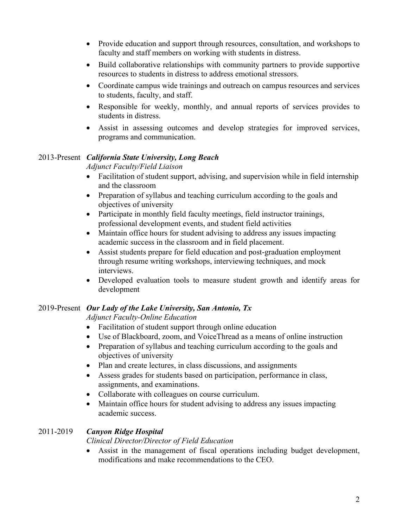- Provide education and support through resources, consultation, and workshops to faculty and staff members on working with students in distress.
- Build collaborative relationships with community partners to provide supportive resources to students in distress to address emotional stressors.
- Coordinate campus wide trainings and outreach on campus resources and services to students, faculty, and staff.
- Responsible for weekly, monthly, and annual reports of services provides to students in distress.
- Assist in assessing outcomes and develop strategies for improved services, programs and communication.

### 2013-Present *California State University, Long Beach*

 *Adjunct Faculty/Field Liaison*

- Facilitation of student support, advising, and supervision while in field internship and the classroom
- Preparation of syllabus and teaching curriculum according to the goals and objectives of university
- Participate in monthly field faculty meetings, field instructor trainings, professional development events, and student field activities
- Maintain office hours for student advising to address any issues impacting academic success in the classroom and in field placement.
- Assist students prepare for field education and post-graduation employment through resume writing workshops, interviewing techniques, and mock interviews.
- Developed evaluation tools to measure student growth and identify areas for development

### 2019-Present *Our Lady of the Lake University, San Antonio, Tx*

 *Adjunct Faculty-Online Education*

- Facilitation of student support through online education
- Use of Blackboard, zoom, and VoiceThread as a means of online instruction
- Preparation of syllabus and teaching curriculum according to the goals and objectives of university
- Plan and create lectures, in class discussions, and assignments
- Assess grades for students based on participation, performance in class, assignments, and examinations.
- Collaborate with colleagues on course curriculum.
- Maintain office hours for student advising to address any issues impacting academic success.

### 2011-2019 *Canyon Ridge Hospital*

*Clinical Director/Director of Field Education*

• Assist in the management of fiscal operations including budget development, modifications and make recommendations to the CEO.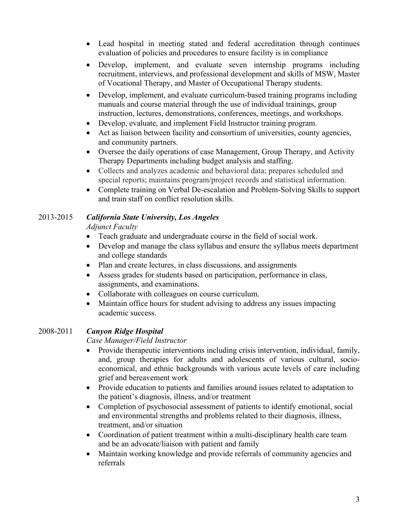- Lead hospital in meeting stated and federal accreditation through continues evaluation of policies and procedures to ensure facility is in compliance
- Develop, implement, and evaluate seven internship programs including recruitment, interviews, and professional development and skills of MSW, Master of Vocational Therapy, and Master of Occupational Therapy students.
- Develop, implement, and evaluate curriculum-based training programs including manuals and course material through the use of individual trainings, group instruction, lectures, demonstrations, conferences, meetings, and workshops.
- Develop, evaluate, and implement Field Instructor training program.
- Act as liaison between facility and consortium of universities, county agencies, and community partners.
- Oversee the daily operations of case Management, Group Therapy, and Activity Therapy Departments including budget analysis and staffing.
- Collects and analyzes academic and behavioral data; prepares scheduled and special reports; maintains program/project records and statistical information.
- Complete training on Verbal De-escalation and Problem-Solving Skills to support and train staff on conflict resolution skills.

# 2013-2015 *California State University, Los Angeles*

 *Adjunct Faculty*

- Teach graduate and undergraduate course in the field of social work.
- Develop and manage the class syllabus and ensure the syllabus meets department and college standards
- Plan and create lectures, in class discussions, and assignments
- Assess grades for students based on participation, performance in class, assignments, and examinations.
- Collaborate with colleagues on course curriculum.
- Maintain office hours for student advising to address any issues impacting academic success.

## 2008-2011 *Canyon Ridge Hospital*

*Case Manager/Field Instructor*

- Provide therapeutic interventions including crisis intervention, individual, family, and, group therapies for adults and adolescents of various cultural, socioeconomical, and ethnic backgrounds with various acute levels of care including grief and bereavement work
- Provide education to patients and families around issues related to adaptation to the patient's diagnosis, illness, and/or treatment
- Completion of psychosocial assessment of patients to identify emotional, social and environmental strengths and problems related to their diagnosis, illness, treatment, and/or situation
- Coordination of patient treatment within a multi-disciplinary health care team and be an advocate/liaison with patient and family
- Maintain working knowledge and provide referrals of community agencies and referrals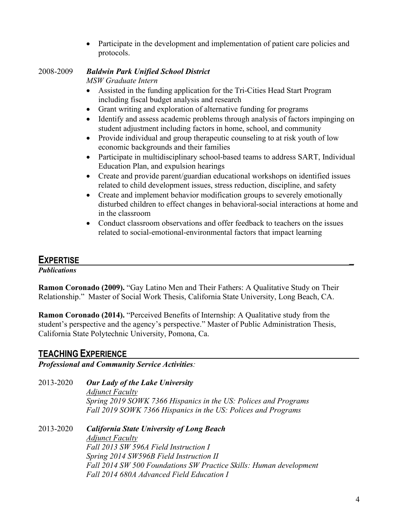• Participate in the development and implementation of patient care policies and protocols.

## 2008-2009 *Baldwin Park Unified School District*

*MSW Graduate Intern*

- Assisted in the funding application for the Tri-Cities Head Start Program including fiscal budget analysis and research
- Grant writing and exploration of alternative funding for programs
- Identify and assess academic problems through analysis of factors impinging on student adjustment including factors in home, school, and community
- Provide individual and group therapeutic counseling to at risk youth of low economic backgrounds and their families
- Participate in multidisciplinary school-based teams to address SART, Individual Education Plan, and expulsion hearings
- Create and provide parent/guardian educational workshops on identified issues related to child development issues, stress reduction, discipline, and safety
- Create and implement behavior modification groups to severely emotionally disturbed children to effect changes in behavioral-social interactions at home and in the classroom
- Conduct classroom observations and offer feedback to teachers on the issues related to social-emotional-environmental factors that impact learning

# **EXPERTISE \_**

*Publications*

**Ramon Coronado (2009).** "Gay Latino Men and Their Fathers: A Qualitative Study on Their Relationship." Master of Social Work Thesis, California State University, Long Beach, CA.

**Ramon Coronado (2014).** "Perceived Benefits of Internship: A Qualitative study from the student's perspective and the agency's perspective." Master of Public Administration Thesis, California State Polytechnic University, Pomona, Ca.

## **TEACHING EXPERIENCE**

*Professional and Community Service Activities:* 

2013-2020 *Our Lady of the Lake University Adjunct Faculty Spring 2019 SOWK 7366 Hispanics in the US: Polices and Programs Fall 2019 SOWK 7366 Hispanics in the US: Polices and Programs* 2013-2020 *California State University of Long Beach Adjunct Faculty Fall 2013 SW 596A Field Instruction I Spring 2014 SW596B Field Instruction II Fall 2014 SW 500 Foundations SW Practice Skills: Human development Fall 2014 680A Advanced Field Education I*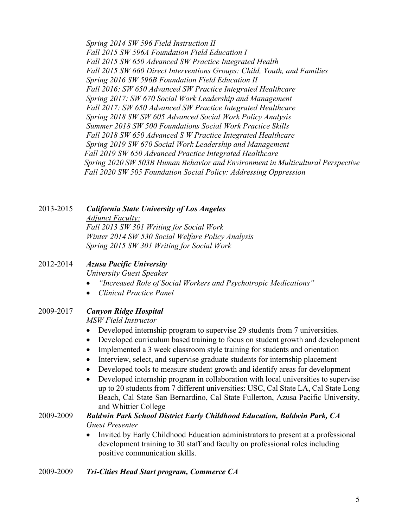*Spring 2014 SW 596 Field Instruction II Fall 2015 SW 596A Foundation Field Education I Fall 2015 SW 650 Advanced SW Practice Integrated Health Fall 2015 SW 660 Direct Interventions Groups: Child, Youth, and Families Spring 2016 SW 596B Foundation Field Education II Fall 2016: SW 650 Advanced SW Practice Integrated Healthcare Spring 2017: SW 670 Social Work Leadership and Management Fall 2017: SW 650 Advanced SW Practice Integrated Healthcare Spring 2018 SW SW 605 Advanced Social Work Policy Analysis Summer 2018 SW 500 Foundations Social Work Practice Skills Fall 2018 SW 650 Advanced S W Practice Integrated Healthcare Spring 2019 SW 670 Social Work Leadership and Management Fall 2019 SW 650 Advanced Practice Integrated Healthcare Spring 2020 SW 503B Human Behavior and Environment in Multicultural Perspective Fall 2020 SW 505 Foundation Social Policy: Addressing Oppression*

2013-2015 *California State University of Los Angeles Adjunct Faculty: Fall 2013 SW 301 Writing for Social Work Winter 2014 SW 530 Social Welfare Policy Analysis Spring 2015 SW 301 Writing for Social Work*

### 2012-2014 *Azusa Pacific University*

*University Guest Speaker*

- *"Increased Role of Social Workers and Psychotropic Medications"*
- *Clinical Practice Panel*

## 2009-2017 *Canyon Ridge Hospital*

*MSW Field Instructor*

- Developed internship program to supervise 29 students from 7 universities.
- Developed curriculum based training to focus on student growth and development
- Implemented a 3 week classroom style training for students and orientation
- Interview, select, and supervise graduate students for internship placement
- Developed tools to measure student growth and identify areas for development
- Developed internship program in collaboration with local universities to supervise up to 20 students from 7 different universities: USC, Cal State LA, Cal State Long Beach, Cal State San Bernardino, Cal State Fullerton, Azusa Pacific University, and Whittier College

## 2009-2009 *Baldwin Park School District Early Childhood Education, Baldwin Park, CA Guest Presenter*

• Invited by Early Childhood Education administrators to present at a professional development training to 30 staff and faculty on professional roles including positive communication skills.

2009-2009 *Tri-Cities Head Start program, Commerce CA*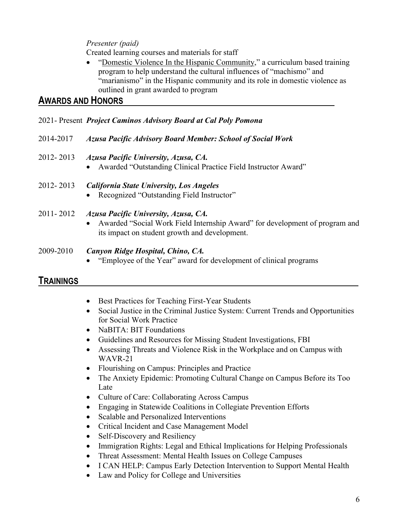## *Presenter (paid)*

Created learning courses and materials for staff

• "Domestic Violence In the Hispanic Community," a curriculum based training program to help understand the cultural influences of "machismo" and "marianismo" in the Hispanic community and its role in domestic violence as outlined in grant awarded to program

## **AWARDS AND HONORS**

2021- Present *Project Caminos Advisory Board at Cal Poly Pomona*

| 2014-2017 | <b>Azusa Pacific Advisory Board Member: School of Social Work</b>                                                                                                      |
|-----------|------------------------------------------------------------------------------------------------------------------------------------------------------------------------|
| 2012-2013 | Azusa Pacific University, Azusa, CA.<br>• Awarded "Outstanding Clinical Practice Field Instructor Award"                                                               |
| 2012-2013 | <b>California State University, Los Angeles</b><br>• Recognized "Outstanding Field Instructor"                                                                         |
| 2011-2012 | Azusa Pacific University, Azusa, CA.<br>• Awarded "Social Work Field Internship Award" for development of program and<br>its impact on student growth and development. |

2009-2010 *Canyon Ridge Hospital, Chino, CA.*

• "Employee of the Year" award for development of clinical programs

# **TRAININGS**

- Best Practices for Teaching First-Year Students
- Social Justice in the Criminal Justice System: Current Trends and Opportunities for Social Work Practice
- NaBITA: BIT Foundations
- Guidelines and Resources for Missing Student Investigations, FBI
- Assessing Threats and Violence Risk in the Workplace and on Campus with WAVR-21
- Flourishing on Campus: Principles and Practice
- The Anxiety Epidemic: Promoting Cultural Change on Campus Before its Too Late
- Culture of Care: Collaborating Across Campus
- Engaging in Statewide Coalitions in Collegiate Prevention Efforts
- Scalable and Personalized Interventions
- Critical Incident and Case Management Model
- Self-Discovery and Resiliency
- Immigration Rights: Legal and Ethical Implications for Helping Professionals
- Threat Assessment: Mental Health Issues on College Campuses
- I CAN HELP: Campus Early Detection Intervention to Support Mental Health
- Law and Policy for College and Universities